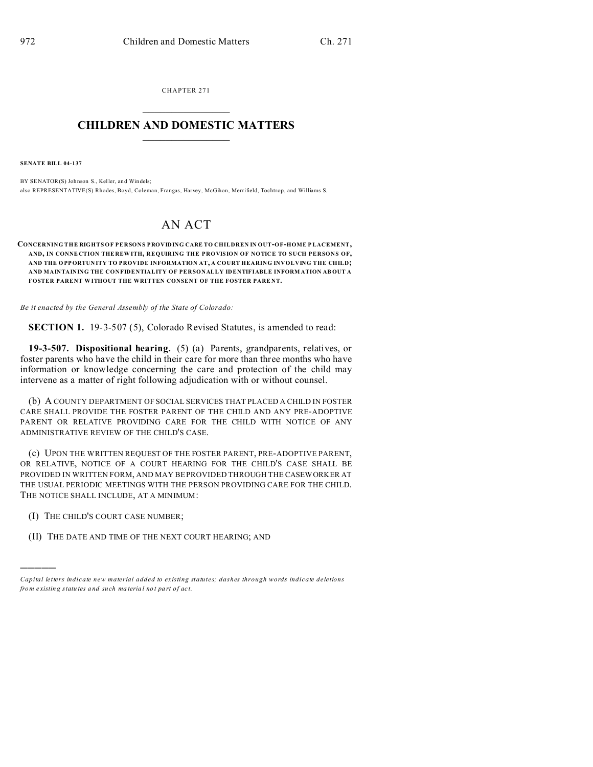CHAPTER 271  $\overline{\phantom{a}}$  , where  $\overline{\phantom{a}}$ 

## **CHILDREN AND DOMESTIC MATTERS**  $\_$

**SENATE BILL 04-137**

BY SENATOR(S) Johnson S., Keller, and Windels; also REPRESENTATIVE(S) Rhodes, Boyd, Coleman, Frangas, Harvey, McGihon, Merrifield, Tochtrop, and Williams S.

## AN ACT

**CONCERNING THE RIGHTS OF PERSONS PROVIDING CARE TO CHILDREN IN OUT-OF-HOME P LACEMENT, AND, IN CONNE CTION THE REW ITH, REQUIRING THE PROVISION OF NOTICE TO SUCH PERSONS OF, AND THE O PP ORTUN ITY TO PROVIDE INFORMATION AT, A COURT HEARING INVOLVING THE CHILD; AND MAINTAINING THE CONFIDENTIALITY OF PERSONALLY IDENTIFIABLE INFORM ATION AB OUT A** FOSTER PARENT WITHOUT THE WRITTEN CONSENT OF THE FOSTER PARENT.

*Be it enacted by the General Assembly of the State of Colorado:*

**SECTION 1.** 19-3-507 (5), Colorado Revised Statutes, is amended to read:

**19-3-507. Dispositional hearing.** (5) (a) Parents, grandparents, relatives, or foster parents who have the child in their care for more than three months who have information or knowledge concerning the care and protection of the child may intervene as a matter of right following adjudication with or without counsel.

(b) A COUNTY DEPARTMENT OF SOCIAL SERVICES THAT PLACED A CHILD IN FOSTER CARE SHALL PROVIDE THE FOSTER PARENT OF THE CHILD AND ANY PRE-ADOPTIVE PARENT OR RELATIVE PROVIDING CARE FOR THE CHILD WITH NOTICE OF ANY ADMINISTRATIVE REVIEW OF THE CHILD'S CASE.

(c) UPON THE WRITTEN REQUEST OF THE FOSTER PARENT, PRE-ADOPTIVE PARENT, OR RELATIVE, NOTICE OF A COURT HEARING FOR THE CHILD'S CASE SHALL BE PROVIDED IN WRITTEN FORM, AND MAY BE PROVIDED THROUGH THE CASEWORKER AT THE USUAL PERIODIC MEETINGS WITH THE PERSON PROVIDING CARE FOR THE CHILD. THE NOTICE SHALL INCLUDE, AT A MINIMUM:

(I) THE CHILD'S COURT CASE NUMBER;

)))))

(II) THE DATE AND TIME OF THE NEXT COURT HEARING; AND

*Capital letters indicate new material added to existing statutes; dashes through words indicate deletions from e xistin g statu tes a nd such ma teria l no t pa rt of ac t.*